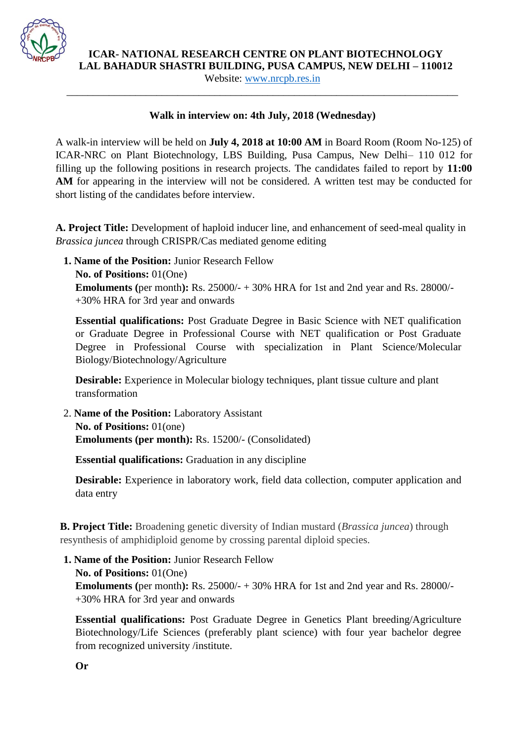

**ICAR- NATIONAL RESEARCH CENTRE ON PLANT BIOTECHNOLOGY** 

**LAL BAHADUR SHASTRI BUILDING, PUSA CAMPUS, NEW DELHI – 110012** 

Website: [www.nrcpb.res.in](http://www.nrcpb.res.in/) \_\_\_\_\_\_\_\_\_\_\_\_\_\_\_\_\_\_\_\_\_\_\_\_\_\_\_\_\_\_\_\_\_\_\_\_\_\_\_\_\_\_\_\_\_\_\_\_\_\_\_\_\_\_\_\_\_\_\_\_\_\_\_\_\_\_\_\_\_\_\_\_\_\_

#### **Walk in interview on: 4th July, 2018 (Wednesday)**

A walk-in interview will be held on **July 4, 2018 at 10:00 AM** in Board Room (Room No-125) of ICAR-NRC on Plant Biotechnology, LBS Building, Pusa Campus, New Delhi– 110 012 for filling up the following positions in research projects. The candidates failed to report by **11:00**  AM for appearing in the interview will not be considered. A written test may be conducted for short listing of the candidates before interview.

**A. Project Title:** Development of haploid inducer line, and enhancement of seed-meal quality in *Brassica juncea* through CRISPR/Cas mediated genome editing

**1. Name of the Position:** Junior Research Fellow **No. of Positions:** 01(One)

**Emoluments (**per month**):** Rs. 25000/- + 30% HRA for 1st and 2nd year and Rs. 28000/- +30% HRA for 3rd year and onwards

**Essential qualifications:** Post Graduate Degree in Basic Science with NET qualification or Graduate Degree in Professional Course with NET qualification or Post Graduate Degree in Professional Course with specialization in Plant Science/Molecular Biology/Biotechnology/Agriculture

**Desirable:** Experience in Molecular biology techniques, plant tissue culture and plant transformation

2. **Name of the Position:** Laboratory Assistant **No. of Positions:** 01(one) **Emoluments (per month):** Rs. 15200/- (Consolidated)

**Essential qualifications:** Graduation in any discipline

**Desirable:** Experience in laboratory work, field data collection, computer application and data entry

**B. Project Title:** Broadening genetic diversity of Indian mustard (*Brassica juncea*) through resynthesis of amphidiploid genome by crossing parental diploid species.

**1. Name of the Position:** Junior Research Fellow

**No. of Positions:** 01(One)

**Emoluments (per month):** Rs. 25000/- + 30% HRA for 1st and 2nd year and Rs. 28000/-+30% HRA for 3rd year and onwards

**Essential qualifications:** Post Graduate Degree in Genetics Plant breeding/Agriculture Biotechnology/Life Sciences (preferably plant science) with four year bachelor degree from recognized university /institute.

**Or**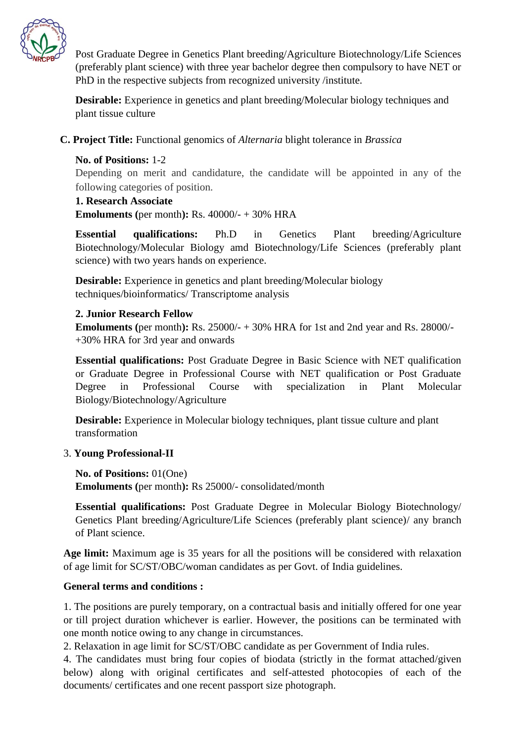

Post Graduate Degree in Genetics Plant breeding/Agriculture Biotechnology/Life Sciences (preferably plant science) with three year bachelor degree then compulsory to have NET or PhD in the respective subjects from recognized university /institute.

**Desirable:** Experience in genetics and plant breeding/Molecular biology techniques and plant tissue culture

**C. Project Title:** Functional genomics of *Alternaria* blight tolerance in *Brassica*

## **No. of Positions:** 1-2 Depending on merit and candidature, the candidate will be appointed in any of the following categories of position.

**1. Research Associate Emoluments (**per month**):** Rs. 40000/- + 30% HRA

**Essential qualifications:** Ph.D in Genetics Plant breeding/Agriculture Biotechnology/Molecular Biology amd Biotechnology/Life Sciences (preferably plant science) with two years hands on experience.

**Desirable:** Experience in genetics and plant breeding/Molecular biology techniques/bioinformatics/ Transcriptome analysis

## **2. Junior Research Fellow**

**Emoluments (per month):** Rs. 25000/- + 30% HRA for 1st and 2nd year and Rs. 28000/-+30% HRA for 3rd year and onwards

**Essential qualifications:** Post Graduate Degree in Basic Science with NET qualification or Graduate Degree in Professional Course with NET qualification or Post Graduate Degree in Professional Course with specialization in Plant Molecular Biology/Biotechnology/Agriculture

**Desirable:** Experience in Molecular biology techniques, plant tissue culture and plant transformation

#### 3. **Young Professional-II**

**No. of Positions:** 01(One)

**Emoluments (**per month**):** Rs 25000/- consolidated/month

**Essential qualifications:** Post Graduate Degree in Molecular Biology Biotechnology/ Genetics Plant breeding/Agriculture/Life Sciences (preferably plant science)/ any branch of Plant science.

**Age limit:** Maximum age is 35 years for all the positions will be considered with relaxation of age limit for SC/ST/OBC/woman candidates as per Govt. of India guidelines.

# **General terms and conditions :**

1. The positions are purely temporary, on a contractual basis and initially offered for one year or till project duration whichever is earlier. However, the positions can be terminated with one month notice owing to any change in circumstances.

2. Relaxation in age limit for SC/ST/OBC candidate as per Government of India rules.

4. The candidates must bring four copies of biodata (strictly in the format attached/given below) along with original certificates and self-attested photocopies of each of the documents/ certificates and one recent passport size photograph.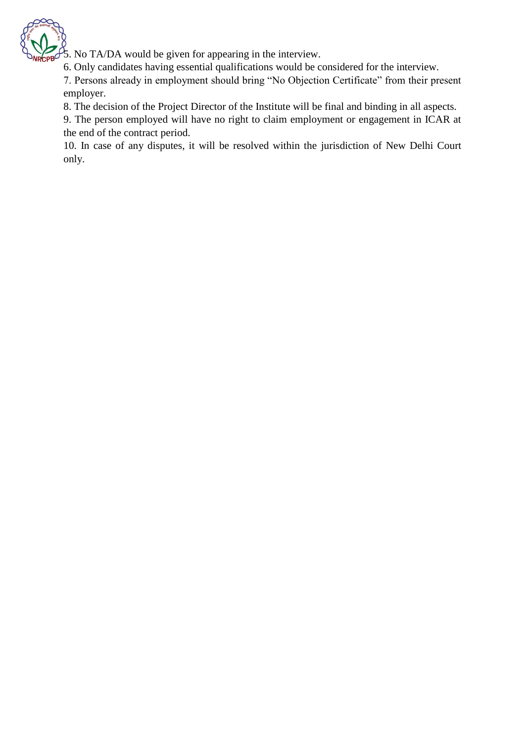

 $\frac{3}{5}$ . No TA/DA would be given for appearing in the interview.

6. Only candidates having essential qualifications would be considered for the interview.

7. Persons already in employment should bring "No Objection Certificate" from their present employer.

8. The decision of the Project Director of the Institute will be final and binding in all aspects.

9. The person employed will have no right to claim employment or engagement in ICAR at the end of the contract period.

10. In case of any disputes, it will be resolved within the jurisdiction of New Delhi Court only.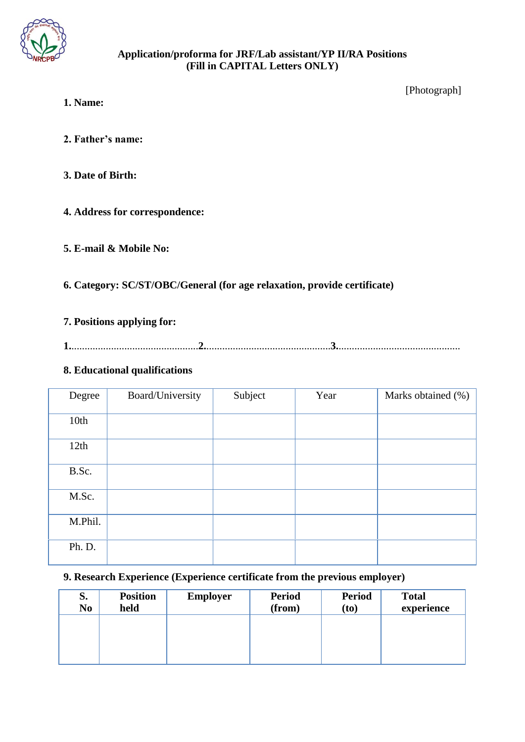

#### **Application/proforma for JRF/Lab assistant/YP II/RA Positions (Fill in CAPITAL Letters ONLY)**

[Photograph]

- **1. Name:**
- **2. Father's name:**
- **3. Date of Birth:**
- **4. Address for correspondence:**
- **5. E-mail & Mobile No:**
- **6. Category: SC/ST/OBC/General (for age relaxation, provide certificate)**

## **7. Positions applying for:**

**1.**................................................**2.**...............................................**3.**..............................................

## **8. Educational qualifications**

| Degree  | Board/University | Subject | Year | Marks obtained (%) |
|---------|------------------|---------|------|--------------------|
| 10th    |                  |         |      |                    |
| 12th    |                  |         |      |                    |
| B.Sc.   |                  |         |      |                    |
| M.Sc.   |                  |         |      |                    |
| M.Phil. |                  |         |      |                    |
| Ph. D.  |                  |         |      |                    |

# **9. Research Experience (Experience certificate from the previous employer)**

| S.<br>N <sub>0</sub> | <b>Position</b><br>held | <b>Employer</b> | <b>Period</b><br>(from) | <b>Period</b><br>(to) | <b>Total</b><br>experience |
|----------------------|-------------------------|-----------------|-------------------------|-----------------------|----------------------------|
|                      |                         |                 |                         |                       |                            |
|                      |                         |                 |                         |                       |                            |